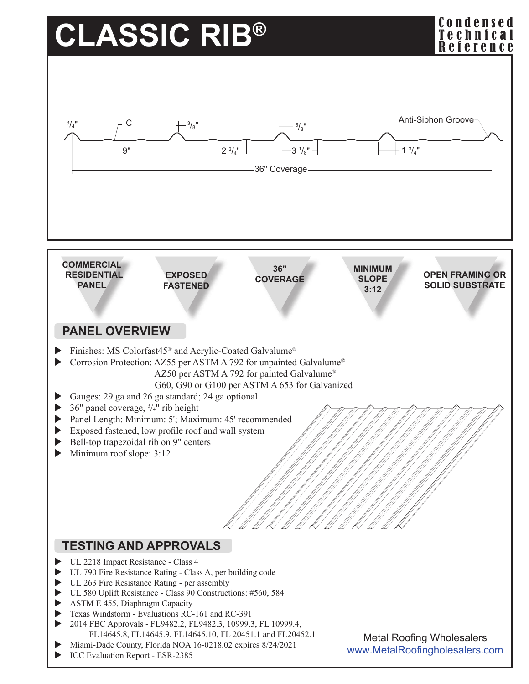